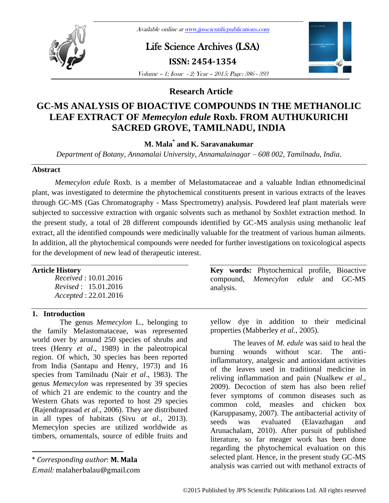# Life Science Archives (LSA)

**ISSN: 2454-1354**



Volume – 1; Issue - 2; Year – 2015; Page: 386 - 393

## **Research Article**

# **GC-MS ANALYSIS OF BIOACTIVE COMPOUNDS IN THE METHANOLIC LEAF EXTRACT OF** *Memecylon edule* **Roxb. FROM AUTHUKURICHI SACRED GROVE, TAMILNADU, INDIA**

# **M. Mala\* and K. Saravanakumar**

*Department of Botany, Annamalai University, Annamalainagar – 608 002, Tamilnadu, India.*

## **Abstract**

*Memecylon edule* Roxb*.* is a member of Melastomataceae and a valuable Indian ethnomedicinal plant, was investigated to determine the phytochemical constituents present in various extracts of the leaves through GC-MS (Gas Chromatography - Mass Spectrometry) analysis. Powdered leaf plant materials were subjected to successive extraction with organic solvents such as methanol by Soxhlet extraction method. In the present study, a total of 28 different compounds identified by GC-MS analysis using methanolic leaf extract, all the identified compounds were medicinally valuable for the treatment of various human ailments. In addition, all the phytochemical compounds were needed for further investigations on toxicological aspects for the development of new lead of therapeutic interest.

## **Article History**

*Received* : 10.01.2016 *Revised* : 15.01.2016 *Accepted* : 22.01.2016

## **1. Introduction**

The genus *Memecylon* L., belonging to the family Melastomataceae, was represented world over by around 250 species of shrubs and trees (Henry *et al*., 1989) in the paleotropical region. Of which, 30 species has been reported from India (Santapu and Henry, 1973) and 16 species from Tamilnadu (Nair *et al*., 1983). The genus *Memecylon* was represented by 39 species of which 21 are endemic to the country and the Western Ghats was reported to host 29 species (Rajendraprasad *et al*., 2006). They are distributed in all types of habitats (Sivu *at al*., 2013). Memecylon species are utilized worldwide as timbers, ornamentals, source of edible fruits and

 $\overline{a}$ 

**Key words:** Phytochemical profile, Bioactive compound, *Memecylon edule* and GC-MS analysis.

yellow dye in addition to their medicinal properties (Mabberley *et al*., 2005).

The leaves of *M. edule* was said to heal the burning wounds without scar. The antiinflammatory, analgesic and antioxidant activities of the leaves used in traditional medicine in reliving inflammation and pain (Nualkew *et al*., 2009). Decoction of stem has also been relief fever symptoms of common diseases such as common cold, measles and chicken box (Karuppasamy, 2007). The antibacterial activity of seeds was evaluated (Elavazhagan and Arunachalam, 2010). After pursuit of published literature, so far meager work has been done regarding the phytochemical evaluation on this selected plant. Hence, in the present study GC-MS analysis was carried out with methanol extracts of

<sup>\*</sup> *Corresponding author*: **M. Mala**

*E.mail:* malaherbalau@gmail.com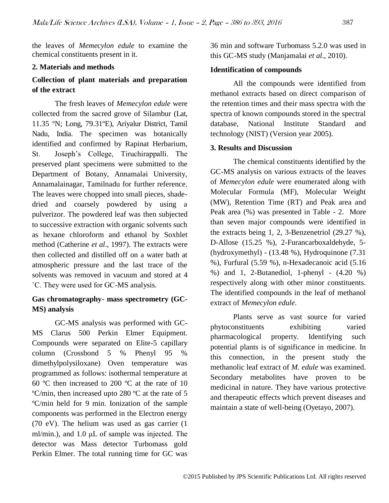the leaves of *Memecylon edule* to examine the chemical constituents present in it.

#### **2. Materials and methods**

## **Collection of plant materials and preparation of the extract**

The fresh leaves of *Memecylon edule* were collected from the sacred grove of Silambur (Lat, 11.35 ºN; Long, 79.31ºE), Ariyalur District, Tamil Nadu, India. The specimen was botanically identified and confirmed by Rapinat Herbarium, St. Joseph's College, Tiruchirappalli. The preserved plant specimens were submitted to the Department of Botany, Annamalai University, Annamalainagar, Tamilnadu for further reference. The leaves were chopped into small pieces, shadedried and coarsely powdered by using a pulverizor. The powdered leaf was then subjected to successive extraction with organic solvents such as hexane chloroform and ethanol by Soxhlet method (Catherine *et al*., 1997). The extracts were then collected and distilled off on a water bath at atmospheric pressure and the last trace of the solvents was removed in vacuum and stored at 4 ˚C. They were used for GC-MS analysis.

## **Gas chromatography- mass spectrometry (GC-MS) analysis**

GC-MS analysis was performed with GC-MS Clarus 500 Perkin Elmer Equipment. Compounds were separated on Elite-5 capillary column (Crossbond 5 % Phenyl 95 % dimethylpolysiloxane) Oven temperature was programmed as follows: isothermal temperature at 60 ºC then increased to 200 ºC at the rate of 10 ºC/min, then increased upto 280 ºC at the rate of 5 ºC/min held for 9 min. Ionization of the sample components was performed in the Electron energy (70 eV). The helium was used as gas carrier (1 ml/min.), and 1.0 μL of sample was injected. The detector was Mass detector Turbomass gold Perkin Elmer. The total running time for GC was 36 min and software Turbomass 5.2.0 was used in this GC-MS study (Manjamalai *et al*., 2010).

## **Identification of compounds**

All the compounds were identified from methanol extracts based on direct comparison of the retention times and their mass spectra with the spectra of known compounds stored in the spectral database, National Institute Standard and technology (NIST) (Version year 2005).

#### **3. Results and Discussion**

The chemical constituents identified by the GC-MS analysis on various extracts of the leaves of *Memecylon edule* were enumerated along with Molecular Formula (MF), Molecular Weight (MW), Retention Time (RT) and Peak area and Peak area (%) was presented in Table - 2. More than seven major compounds were identified in the extracts being 1, 2, 3-Benzenetriol (29.27 %), D-Allose (15.25 %), 2-Furancarboxaldehyde, 5- (hydroxymethyl) - (13.48 %), Hydroquinone (7.31 %), Furfural (5.59 %), n-Hexadecanoic acid (5.16 %) and 1, 2-Butanediol, 1-phenyl - (4.20 %) respectively along with other minor constituents. The identified compounds in the leaf of methanol extract of *Memecylon edule.*

Plants serve as vast source for varied phytoconstituents exhibiting varied pharmacological property. Identifying such potential plants is of significance in medicine. In this connection, in the present study the methanolic leaf extract of *M. edule* was examined. Secondary metabolites have proven to be medicinal in nature. They have various protective and therapeutic effects which prevent diseases and maintain a state of well-being (Oyetayo, 2007).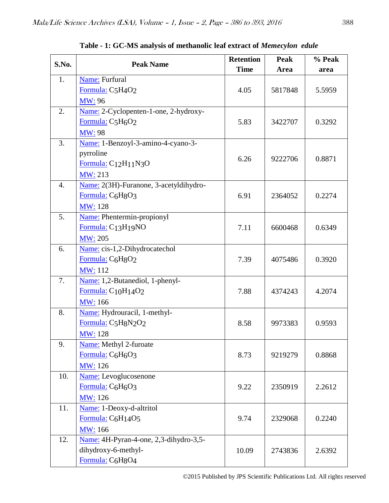| S.No.            | <b>Peak Name</b>                                          | <b>Retention</b> | Peak    | % Peak |
|------------------|-----------------------------------------------------------|------------------|---------|--------|
|                  |                                                           | <b>Time</b>      | Area    | area   |
| 1.               | Name: Furfural                                            |                  |         |        |
|                  | Formula: C5H4O2                                           | 4.05             | 5817848 | 5.5959 |
|                  | <b>MW: 96</b>                                             |                  |         |        |
| 2.               | Name: 2-Cyclopenten-1-one, 2-hydroxy-                     |                  |         |        |
|                  | Formula: C5H <sub>6</sub> O <sub>2</sub>                  | 5.83             | 3422707 | 0.3292 |
|                  | <b>MW</b> : 98                                            |                  |         |        |
| 3.               | Name: 1-Benzoyl-3-amino-4-cyano-3-                        |                  |         |        |
|                  | pyrroline                                                 | 6.26             | 9222706 | 0.8871 |
|                  | Formula: C <sub>12</sub> H <sub>11</sub> N <sub>3</sub> O |                  |         |        |
|                  | MW: 213                                                   |                  |         |        |
| $\overline{4}$ . | Name: 2(3H)-Furanone, 3-acetyldihydro-                    |                  |         |        |
|                  | Formula: C <sub>6</sub> H <sub>8</sub> O <sub>3</sub>     | 6.91             | 2364052 | 0.2274 |
|                  | <b>MW</b> : 128                                           |                  |         |        |
| 5.               | <b>Name:</b> Phentermin-propionyl                         |                  |         |        |
|                  | Formula: C <sub>13</sub> H <sub>19</sub> NO               | 7.11             | 6600468 | 0.6349 |
|                  | <b>MW</b> : 205                                           |                  |         |        |
| 6.               | Name: cis-1,2-Dihydrocatechol                             |                  |         |        |
|                  | Formula: C6H8O2                                           | 7.39             | 4075486 | 0.3920 |
|                  | <b>MW</b> : 112                                           |                  |         |        |
| 7.               | Name: 1,2-Butanediol, 1-phenyl-                           |                  |         |        |
|                  | Formula: C <sub>10</sub> H <sub>14</sub> O <sub>2</sub>   | 7.88             | 4374243 | 4.2074 |
|                  | MW: 166                                                   |                  |         |        |
| 8.               | Name: Hydrouracil, 1-methyl-                              |                  |         |        |
|                  | Formula: C5H8N2O2                                         | 8.58             | 9973383 | 0.9593 |
|                  | <b>MW</b> : 128                                           |                  |         |        |
| 9.               | Name: Methyl 2-furoate                                    |                  |         |        |
|                  | Formula: C <sub>6</sub> H <sub>6</sub> O <sub>3</sub>     | 8.73             | 9219279 | 0.8868 |
|                  | MW: 126                                                   |                  |         |        |
| 10.              | Name: Levoglucosenone                                     |                  |         |        |
|                  | Formula: C <sub>6</sub> H <sub>6</sub> O <sub>3</sub>     | 9.22             | 2350919 | 2.2612 |
|                  | MW: 126                                                   |                  |         |        |
| 11.              | Name: 1-Deoxy-d-altritol                                  |                  |         |        |
|                  | Formula: C <sub>6</sub> H <sub>14</sub> O <sub>5</sub>    | 9.74             | 2329068 | 0.2240 |
|                  | <b>MW</b> : 166                                           |                  |         |        |
| 12.              | Name: 4H-Pyran-4-one, 2,3-dihydro-3,5-                    |                  |         |        |
|                  | dihydroxy-6-methyl-                                       | 10.09            | 2743836 | 2.6392 |
|                  | Formula: C6H8O4                                           |                  |         |        |

**Table - 1: GC-MS analysis of methanolic leaf extract of** *Memecylon edule*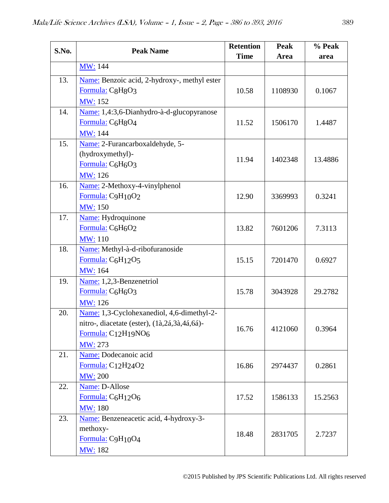| S.No. | <b>Peak Name</b>                                       | <b>Retention</b> | <b>Peak</b> | % Peak  |
|-------|--------------------------------------------------------|------------------|-------------|---------|
|       |                                                        | <b>Time</b>      | Area        | area    |
|       | <b>MW</b> : 144                                        |                  |             |         |
| 13.   | Name: Benzoic acid, 2-hydroxy-, methyl ester           |                  |             |         |
|       | Formula: C8H8O3                                        | 10.58            | 1108930     | 0.1067  |
|       | <b>MW: 152</b>                                         |                  |             |         |
| 14.   | Name: 1,4:3,6-Dianhydro-à-d-glucopyranose              |                  |             |         |
|       | Formula: C6H8O4                                        | 11.52            | 1506170     | 1.4487  |
|       | <b>MW</b> : 144                                        |                  |             |         |
| 15.   | Name: 2-Furancarboxaldehyde, 5-                        |                  |             |         |
|       | (hydroxymethyl)-                                       | 11.94            | 1402348     | 13.4886 |
|       | Formula: C6H6O3                                        |                  |             |         |
|       | <b>MW</b> : 126                                        |                  |             |         |
| 16.   | Name: 2-Methoxy-4-vinylphenol                          |                  |             |         |
|       | Formula: C9H10O2                                       | 12.90            | 3369993     | 0.3241  |
|       | <b>MW</b> : 150                                        |                  |             |         |
| 17.   | Name: Hydroquinone                                     |                  |             |         |
|       | Formula: C6H6O2                                        | 13.82            | 7601206     | 7.3113  |
|       | <b>MW</b> : 110                                        |                  |             |         |
| 18.   | Name: Methyl-à-d-ribofuranoside                        |                  |             |         |
|       | Formula: C <sub>6</sub> H <sub>12</sub> O <sub>5</sub> | 15.15            | 7201470     | 0.6927  |
|       | MW: 164                                                |                  |             |         |
| 19.   | Name: 1,2,3-Benzenetriol                               |                  |             |         |
|       | Formula: C <sub>6</sub> H <sub>6</sub> O <sub>3</sub>  | 15.78            | 3043928     | 29.2782 |
|       | MW: 126                                                |                  |             |         |
| 20.   | Name: 1,3-Cyclohexanediol, 4,6-dimethyl-2-             |                  |             |         |
|       | nitro-, diacetate (ester), (1à,2á,3à,4á,6á)-           | 16.76            | 4121060     | 0.3964  |
|       | Formula: $C_{12}H_{19}NO6$                             |                  |             |         |
|       | <b>MW</b> : 273                                        |                  |             |         |
| 21.   | Name: Dodecanoic acid                                  |                  |             |         |
|       | Formula: $C_{12}H_{24}O_2$                             | 16.86            | 2974437     | 0.2861  |
|       | <b>MW</b> : 200                                        |                  |             |         |
| 22.   | Name: D-Allose                                         |                  |             |         |
|       | Formula: C6H12O6                                       | 17.52            | 1586133     | 15.2563 |
|       | <b>MW</b> : 180                                        |                  |             |         |
| 23.   | Name: Benzeneacetic acid, 4-hydroxy-3-                 |                  |             |         |
|       | methoxy-                                               | 18.48            | 2831705     | 2.7237  |
|       | Formula: C9H10O4                                       |                  |             |         |
|       | <b>MW: 182</b>                                         |                  |             |         |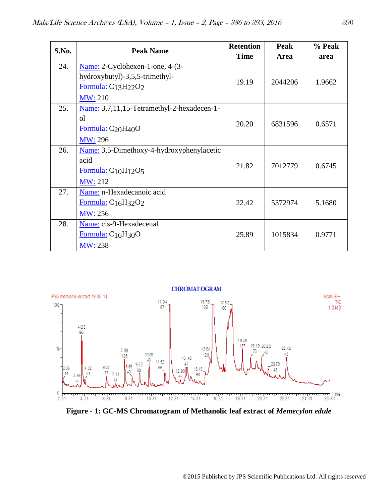| S.No. | <b>Peak Name</b>                                                                                                  | <b>Retention</b> | Peak    | % Peak |
|-------|-------------------------------------------------------------------------------------------------------------------|------------------|---------|--------|
|       |                                                                                                                   | <b>Time</b>      | Area    | area   |
| 24.   | Name: 2-Cyclohexen-1-one, 4-(3-<br>hydroxybutyl)-3,5,5-trimethyl-<br>Formula: $C13H22O2$<br><b>MW</b> : 210       | 19.19            | 2044206 | 1.9662 |
| 25.   | Name: 3,7,11,15-Tetramethyl-2-hexadecen-1-<br>οl<br>Formula: C <sub>20</sub> H <sub>40</sub> O<br><b>MW</b> : 296 | 20.20            | 6831596 | 0.6571 |
| 26.   | Name: 3,5-Dimethoxy-4-hydroxyphenylacetic<br>acid<br>Formula: $C_{10}H_{12}O_5$<br><b>MW</b> : 212                | 21.82            | 7012779 | 0.6745 |
| 27.   | Name: n-Hexadecanoic acid<br>Formula: $C_{16}H_{32}O_2$<br><b>MW</b> : 256                                        | 22.42            | 5372974 | 5.1680 |
| 28.   | Name: cis-9-Hexadecenal<br>Formula: $C_{16}H_{30}O$<br><b>MW</b> : 238                                            | 25.89            | 1015834 | 0.9771 |



**Figure - 1: GC-MS Chromatogram of Methanolic leaf extract of** *Memecylon edule*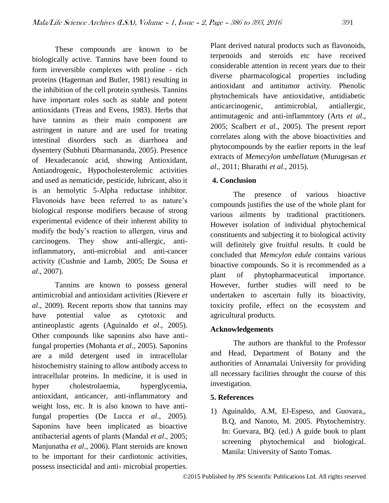These compounds are known to be biologically active. Tannins have been found to form irreversible complexes with proline - rich proteins (Hagerman and Butler, 1981) resulting in the inhibition of the cell protein synthesis. Tannins have important roles such as stable and potent antioxidants (Treas and Evens, 1983). Herbs that have tannins as their main component are astringent in nature and are used for treating intestinal disorders such as diarrhoea and dysentery (Subhuti Dharmananda, 2005). Presence of Hexadecanoic acid, showing Antioxidant, Antiandrogenic, Hypocholesterolemic activities and used as nematicide, pesticide, lubricant, also it is an hemolytic 5-Alpha reductase inhibitor. Flavonoids have been referred to as nature's biological response modifiers because of strong experimental evidence of their inherent ability to modify the body's reaction to allergen, virus and carcinogens. They show anti-allergic, antiinflammatory, anti-microbial and anti-cancer activity (Cushnie and Lamb, 2005; De Sousa *et al*., 2007).

Tannins are known to possess general antimicrobial and antioxidant activities (Rievere *et al*., 2009). Recent reports show that tannins may have potential value as cytotoxic and antineoplastic agents (Aguinaldo *et al*., 2005). Other compounds like saponins also have antifungal properties (Mohanta *et al*., 2005). Saponins are a mild detergent used in intracellular histochemistry staining to allow antibody access to intracellular proteins. In medicine, it is used in hyper cholestrolaemia, hyperglycemia, antioxidant, anticancer, anti-inflammatory and weight loss, etc. It is also known to have antifungal properties (De Lucca *et al*., 2005). Saponins have been implicated as bioactive antibacterial agents of plants (Mandal *et al*., 2005; Manjunatha *et al*., 2006). Plant steroids are known to be important for their cardiotonic activities, possess insecticidal and anti- microbial properties.

Plant derived natural products such as flavonoids, terpenoids and steroids etc have received considerable attention in recent years due to their diverse pharmacological properties including antioxidant and antitumor activity. Phenolic phytochemicals have antioxidative, antidiabetic anticarcinogenic, antimicrobial, antiallergic, antimutagenic and anti-inflammtory (Arts *et al*., 2005; Scalbert *et al*., 2005). The present report correlates along with the above bioactivities and phytocompounds by the earlier reports in the leaf extracts of *Memecylon umbellatum* (Murugesan *et al*., 2011; Bharathi *et al*., 2015).

# **4. Conclusion**

The presence of various bioactive compounds justifies the use of the whole plant for various ailments by traditional practitioners. However isolation of individual phytochemical constituents and subjecting it to biological activity will definitely give fruitful results. It could be concluded that *Memcylon edule* contains various bioactive compounds. So it is recommended as a plant of phytopharmaceutical importance. However, further studies will need to be undertaken to ascertain fully its bioactivity, toxicity profile, effect on the ecosystem and agricultural products.

# **Acknowledgements**

The authors are thankful to the Professor and Head, Department of Botany and the authorities of Annamalai University for providing all necessary facilities throught the course of this investigation.

# **5. References**

1) Aguinaldo, A.M, El-Espeso, and Guovara,, B.Q, and Nanoto, M. 2005. Phytochemistry. In: Guevara, BQ. (ed.) A guide book to plant screening phytochemical and biological. Manila: University of Santo Tomas.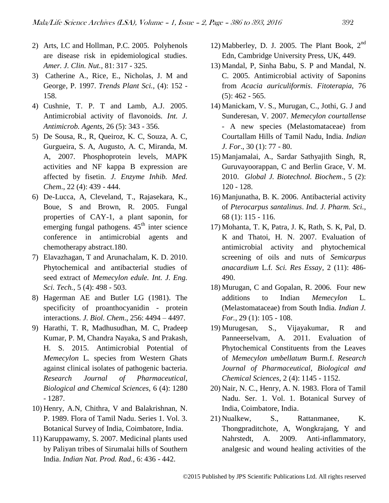- 2) Arts, I.C and Hollman, P.C. 2005. Polyhenols are disease risk in epidemiological studies. *Amer. J. Clin. Nut.,* 81: 317 - 325.
- 3) Catherine A., Rice, E., Nicholas, J. M and George, P. 1997. *Trends Plant Sci.,* (4): 152 - 158.
- 4) Cushnie, T. P. T and Lamb, A.J. 2005. Antimicrobial activity of flavonoids. *Int. J. Antimicrob. Agents,* 26 (5): 343 - 356.
- 5) De Sousa, R., R, Queiroz, K. C, Souza, A. C, Gurgueira, S. A, Augusto, A. C, Miranda, M. A, 2007. Phosphoprotein levels, MAPK activities and NF kappa B expression are affected by fisetin. *J. Enzyme Inhib. Med. Chem*., 22 (4): 439 - 444.
- 6) De-Lucca, A, Cleveland, T., Rajasekara, K., Boue, S and Brown, R. 2005. Fungal properties of CAY-1, a plant saponin, for emerging fungal pathogens.  $45<sup>th</sup>$  inter science conference in antimicrobial agents and chemotherapy abstract.180.
- 7) Elavazhagan, T and Arunachalam, K. D. 2010. Phytochemical and antibacterial studies of seed extract of *Memecylon edule. Int. J. Eng. Sci. Tech.,* 5 (4): 498 - 503.
- 8) Hagerman AE and Butler LG (1981). The specificity of proanthocyanidin - protein interactions. *J. Biol. Chem*., 256: 4494 – 4497.
- 9) Harathi, T. R, Madhusudhan, M. C, Pradeep Kumar, P. M, Chandra Nayaka, S and Prakash, H. S. 2015. Antimicrobial Potential of *Memecylon* L. species from Western Ghats against clinical isolates of pathogenic bacteria. *Research Journal of Pharmaceutical, Biological and Chemical Sciences,* 6 (4): 1280 - 1287.
- 10) Henry, A.N, Chithra, V and Balakrishnan, N. P. 1989. Flora of Tamil Nadu. Series 1. Vol. 3. Botanical Survey of India, Coimbatore, India.
- 11) Karuppawamy, S. 2007. Medicinal plants used by Paliyan tribes of Sirumalai hills of Southern India. *Indian Nat. Prod. Rad.,* 6: 436 - 442.
- 12) Mabberley, D. J. 2005. The Plant Book,  $2<sup>nd</sup>$ Edn, Cambridge University Press, UK, 449.
- 13) Mandal, P, Sinha Babu, S. P and Mandal, N. C. 2005. Antimicrobial activity of Saponins from *Acacia auriculiformis*. *Fitoterapia*, 76  $(5): 462 - 565.$
- 14) Manickam, V. S., Murugan, C., Jothi, G. J and Sunderesan, V. 2007. *Memecylon courtallense* - A new species (Melastomataceae) from Courtallam Hills of Tamil Nadu, India. *Indian J. For*., 30 (1): 77 - 80.
- 15) Manjamalai, A., Sardar Sathyajith Singh, R, Guruvayoorappan, C and Berlin Grace, V. M. 2010. *Global J. Biotechnol. Biochem*., 5 (2): 120 - 128.
- 16) Manjunatha, B. K. 2006. Antibacterial activity of *Pterocarpus santalinus*. *Ind. J. Pharm. Sci.,* 68 (1): 115 - 116.
- 17) Mohanta, T. K, Patra, J. K, Rath, S. K, Pal, D. K and Thatoi, H. N. 2007. Evaluation of antimicrobial activity and phytochemical screening of oils and nuts of *Semicarpus anacardium* L.f*. Sci. Res Essay,* 2 (11): 486- 490.
- 18) Murugan, C and Gopalan, R. 2006. Four new additions to Indian *Memecylon* L. (Melastomataceae) from South India. *Indian J. For.,* 29 (1): 105 - 108.
- 19) Murugesan, S., Vijayakumar, R and Panneerselvam, A. 2011. Evaluation of Phytochemical Constituents from the Leaves of *Memecylon umbellatum* Burm.f. *Research Journal of Pharmaceutical, Biological and Chemical Sciences*, 2 (4): 1145 - 1152.
- 20) Nair, N. C., Henry, A. N. 1983. Flora of Tamil Nadu. Ser. 1. Vol. 1. Botanical Survey of India, Coimbatore, India.
- 21) Nualkew, S., Rattanmanee, K. Thongpraditchote, A, Wongkrajang, Y and Nahrstedt, A. 2009. Anti-inflammatory, analgesic and wound healing activities of the